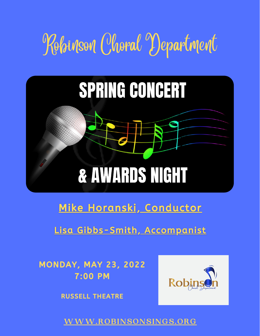## Robinson Choral Department

### **SPRING GONGERT**

### **& AWARDS NIGHT**

Mike Horanski, Conductor

Lisa Gibbs-Smith, Accompanist

MONDAY, MAY 23, 2022 7:00 PM

Robin

RUSSELL THEATRE

**[WWW.ROBINSONSINGS.ORG](https://www.robinsonsings.org/)**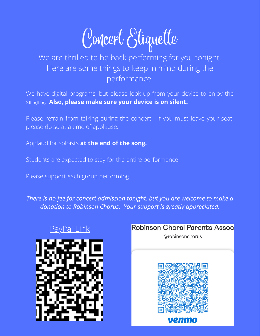Concert Etiquette

#### We are thrilled to be back performing for you tonight. Here are some things to keep in mind during the performance.

We have digital programs, but please look up from your device to enjoy the singing. **Also, please make sure your device is on silent.**

Please refrain from talking during the concert. If you must leave your seat, please do so at a time of applause.

Applaud for soloists **at the end of the song.**

Students are expected to stay for the entire performance.

Please support each group performing.

*There is no fee for concert admission tonight, but you are welcome to make a donation to Robinson Chorus. Your support is greatly appreciated.*



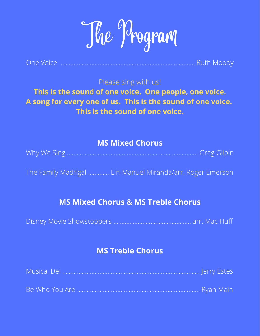

One Voice ................................................................................... Ruth Moody

Please sing with us!

**This is the sound of one voice. One people, one voice. A song for every one of us. This is the sound of one voice. This is the sound of one voice.**

#### **MS Mixed Chorus**

|--|--|

The Family Madrigal ............. Lin-Manuel Miranda/arr. Roger Emerson

#### **MS Mixed Chorus & MS Treble Chorus**

#### **MS Treble Chorus**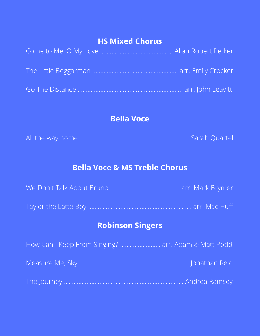#### **HS Mixed Chorus**

#### **Bella Voce**

|--|--|

#### **Bella Voce & MS Treble Chorus**

#### **Robinson Singers**

| How Can I Keep From Singing?  arr. Adam & Matt Podd |  |
|-----------------------------------------------------|--|
|                                                     |  |
|                                                     |  |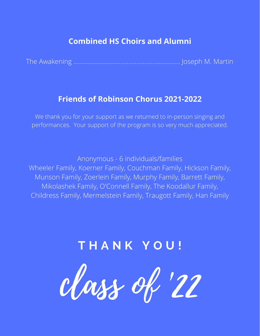#### **Combined HS Choirs and Alumni**

The Awakening .................................................................. Joseph M. Martin

#### **Friends of Robinson Chorus 2021-2022**

We thank you for your support as we returned to in-person singing and performances. Your support of the program is so very much appreciated.

Anonymous - 6 individuals/families Wheeler Family, Koerner Family, Couchman Family, Hickson Family, Munson Family, Zoerlein Family, Murphy Family, Barrett Family, Mikolashek Family, O'Connell Family, The Koodallur Family, Childress Family, Mermelstein Family, Traugott Family, Han Family

### **T H A N K Y O U !**

class of '22